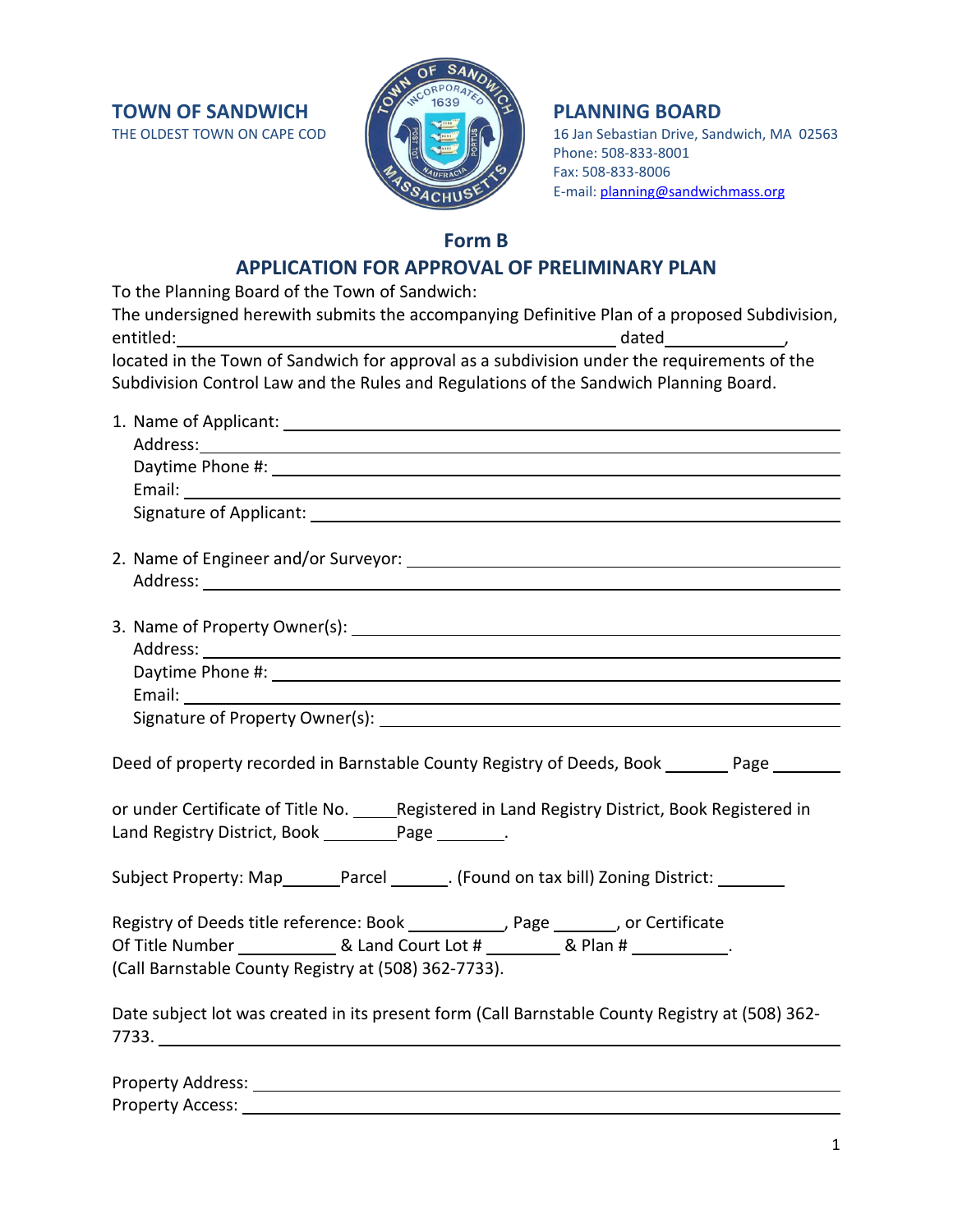**TOWN OF SANDWICH THE OLDEST TOWN ON CAPE COD**  $\begin{pmatrix} 1 & 1 & 1 \ 1 & 0 & 1 \end{pmatrix}$  **PLANNING BOARD** 



16 Jan Sebastian Drive, Sandwich, MA 02563 Phone: 508-833-8001 Fax: 508-833-8006 E-mail: [planning@sandwichmass.org](mailto:planning@sandwichmass.org)

## **Form B**

# **APPLICATION FOR APPROVAL OF PRELIMINARY PLAN**

| To the Planning Board of the Town of Sandwich:                                                                                                                                                                                 |
|--------------------------------------------------------------------------------------------------------------------------------------------------------------------------------------------------------------------------------|
| The undersigned herewith submits the accompanying Definitive Plan of a proposed Subdivision,                                                                                                                                   |
|                                                                                                                                                                                                                                |
| located in the Town of Sandwich for approval as a subdivision under the requirements of the<br>Subdivision Control Law and the Rules and Regulations of the Sandwich Planning Board.                                           |
|                                                                                                                                                                                                                                |
|                                                                                                                                                                                                                                |
|                                                                                                                                                                                                                                |
|                                                                                                                                                                                                                                |
| Signature of Applicant: Sample of Applicant and Security and Security and Security and Security and Security and Security and Security and Security and Security and Security and Security and Security and Security and Secur |
|                                                                                                                                                                                                                                |
|                                                                                                                                                                                                                                |
|                                                                                                                                                                                                                                |
|                                                                                                                                                                                                                                |
|                                                                                                                                                                                                                                |
|                                                                                                                                                                                                                                |
|                                                                                                                                                                                                                                |
| Deed of property recorded in Barnstable County Registry of Deeds, Book ______ Page ______                                                                                                                                      |
| or under Certificate of Title No. ______Registered in Land Registry District, Book Registered in<br>Land Registry District, Book ___________ Page _________.                                                                   |
| Subject Property: Map_______Parcel _______. (Found on tax bill) Zoning District: _______                                                                                                                                       |
| Registry of Deeds title reference: Book ___________, Page _______, or Certificate                                                                                                                                              |
|                                                                                                                                                                                                                                |
| (Call Barnstable County Registry at (508) 362-7733).                                                                                                                                                                           |
| Date subject lot was created in its present form (Call Barnstable County Registry at (508) 362-<br>7733.                                                                                                                       |
| Property Address:                                                                                                                                                                                                              |

Property Access: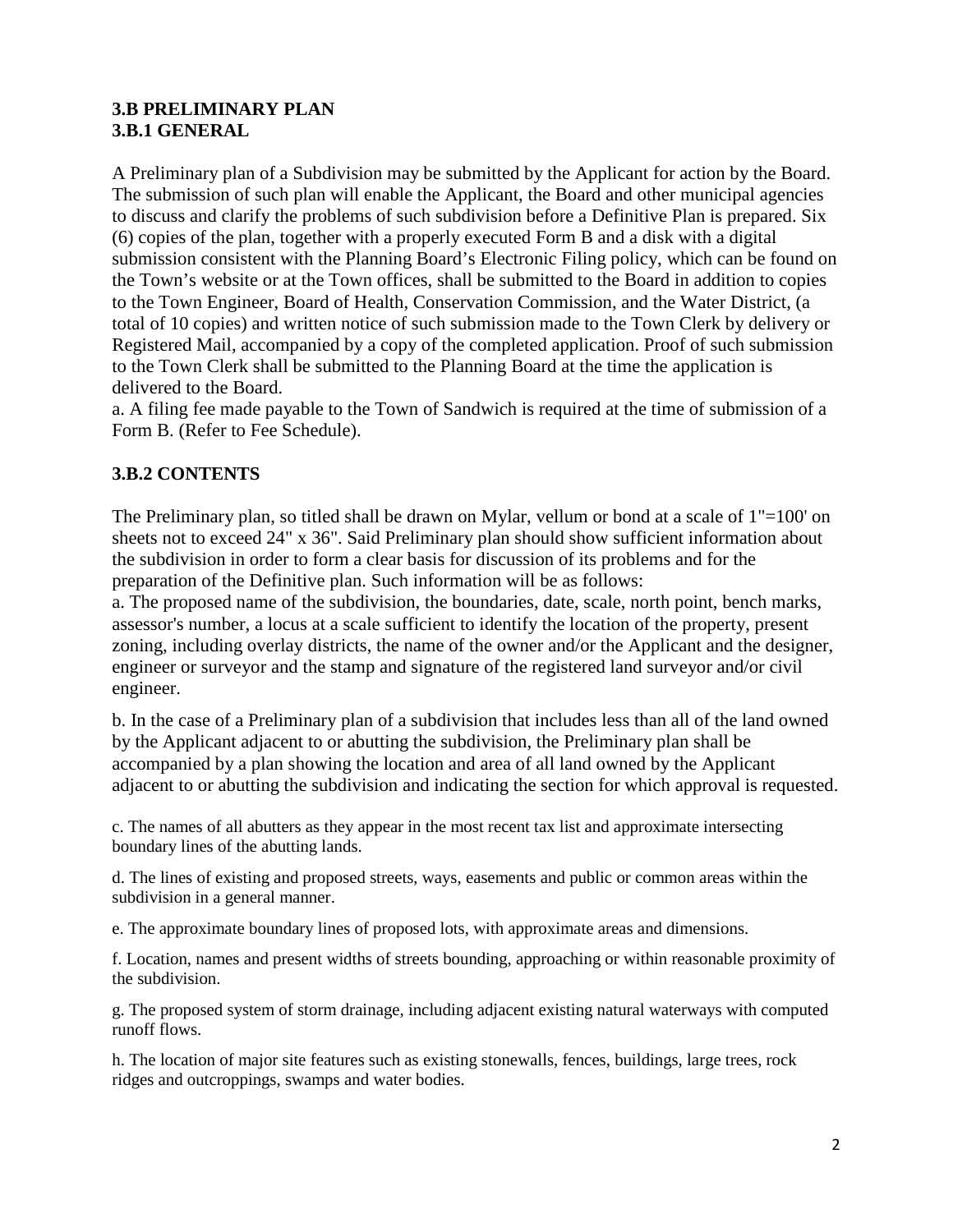### **3.B PRELIMINARY PLAN 3.B.1 GENERAL**

A Preliminary plan of a Subdivision may be submitted by the Applicant for action by the Board. The submission of such plan will enable the Applicant, the Board and other municipal agencies to discuss and clarify the problems of such subdivision before a Definitive Plan is prepared. Six (6) copies of the plan, together with a properly executed Form B and a disk with a digital submission consistent with the Planning Board's Electronic Filing policy, which can be found on the Town's website or at the Town offices, shall be submitted to the Board in addition to copies to the Town Engineer, Board of Health, Conservation Commission, and the Water District, (a total of 10 copies) and written notice of such submission made to the Town Clerk by delivery or Registered Mail, accompanied by a copy of the completed application. Proof of such submission to the Town Clerk shall be submitted to the Planning Board at the time the application is delivered to the Board.

a. A filing fee made payable to the Town of Sandwich is required at the time of submission of a Form B. (Refer to Fee Schedule).

## **3.B.2 CONTENTS**

The Preliminary plan, so titled shall be drawn on Mylar, vellum or bond at a scale of  $1"=100'$  on sheets not to exceed 24" x 36". Said Preliminary plan should show sufficient information about the subdivision in order to form a clear basis for discussion of its problems and for the preparation of the Definitive plan. Such information will be as follows:

a. The proposed name of the subdivision, the boundaries, date, scale, north point, bench marks, assessor's number, a locus at a scale sufficient to identify the location of the property, present zoning, including overlay districts, the name of the owner and/or the Applicant and the designer, engineer or surveyor and the stamp and signature of the registered land surveyor and/or civil engineer.

b. In the case of a Preliminary plan of a subdivision that includes less than all of the land owned by the Applicant adjacent to or abutting the subdivision, the Preliminary plan shall be accompanied by a plan showing the location and area of all land owned by the Applicant adjacent to or abutting the subdivision and indicating the section for which approval is requested.

c. The names of all abutters as they appear in the most recent tax list and approximate intersecting boundary lines of the abutting lands.

d. The lines of existing and proposed streets, ways, easements and public or common areas within the subdivision in a general manner.

e. The approximate boundary lines of proposed lots, with approximate areas and dimensions.

f. Location, names and present widths of streets bounding, approaching or within reasonable proximity of the subdivision.

g. The proposed system of storm drainage, including adjacent existing natural waterways with computed runoff flows.

h. The location of major site features such as existing stonewalls, fences, buildings, large trees, rock ridges and outcroppings, swamps and water bodies.